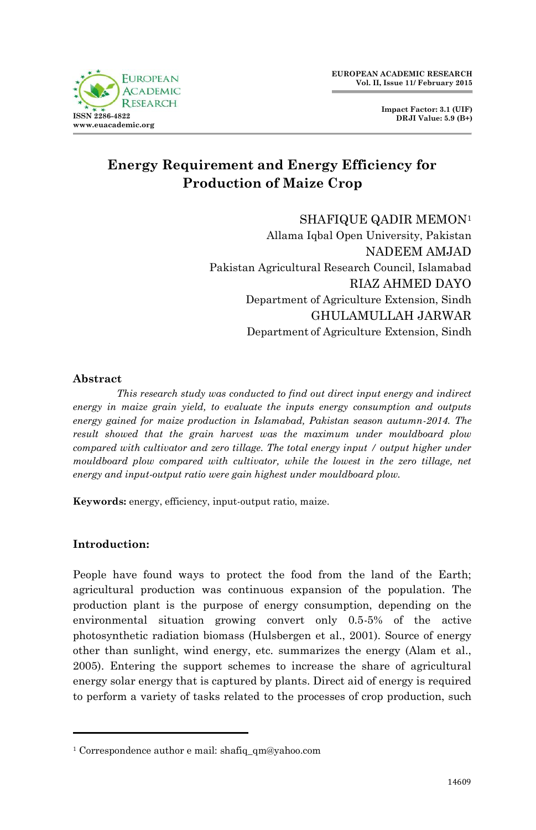

## **Energy Requirement and Energy Efficiency for Production of Maize Crop**

SHAFIQUE QADIR MEMON<sup>1</sup> Allama Iqbal Open University, Pakistan

NADEEM AMJAD Pakistan Agricultural Research Council, Islamabad RIAZ AHMED DAYO Department of Agriculture Extension, Sindh GHULAMULLAH JARWAR Department of Agriculture Extension, Sindh

#### **Abstract**

*This research study was conducted to find out direct input energy and indirect energy in maize grain yield, to evaluate the inputs energy consumption and outputs energy gained for maize production in Islamabad, Pakistan season autumn-2014. The result showed that the grain harvest was the maximum under mouldboard plow compared with cultivator and zero tillage. The total energy input / output higher under mouldboard plow compared with cultivator, while the lowest in the zero tillage, net energy and input-output ratio were gain highest under mouldboard plow.*

**Keywords:** energy, efficiency, input-output ratio, maize.

## **Introduction:**

People have found ways to protect the food from the land of the Earth; agricultural production was continuous expansion of the population. The production plant is the purpose of energy consumption, depending on the environmental situation growing convert only 0.5-5% of the active photosynthetic radiation biomass (Hulsbergen et al., 2001). Source of energy other than sunlight, wind energy, etc. summarizes the energy (Alam et al., 2005). Entering the support schemes to increase the share of agricultural energy solar energy that is captured by plants. Direct aid of energy is required to perform a variety of tasks related to the processes of crop production, such

<sup>1</sup> Correspondence author e mail: shafiq\_qm@yahoo.com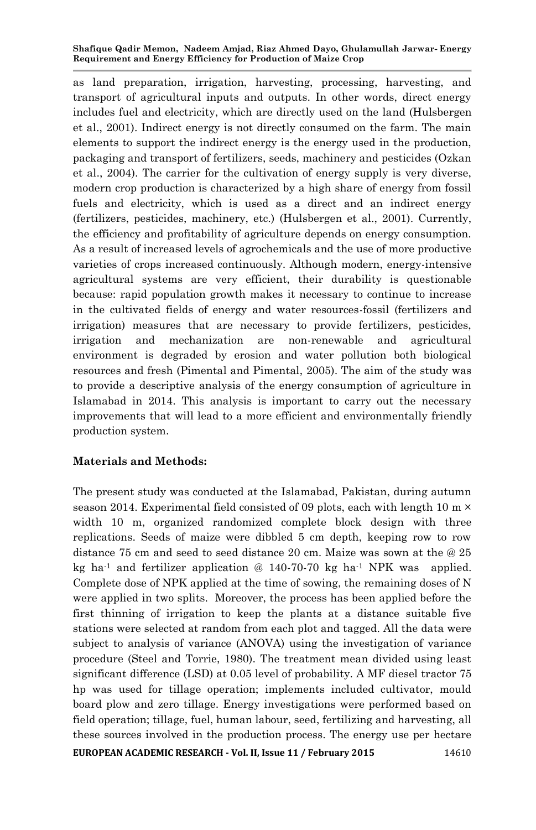as land preparation, irrigation, harvesting, processing, harvesting, and transport of agricultural inputs and outputs. In other words, direct energy includes fuel and electricity, which are directly used on the land (Hulsbergen et al., 2001). Indirect energy is not directly consumed on the farm. The main elements to support the indirect energy is the energy used in the production, packaging and transport of fertilizers, seeds, machinery and pesticides (Ozkan et al., 2004). The carrier for the cultivation of energy supply is very diverse, modern crop production is characterized by a high share of energy from fossil fuels and electricity, which is used as a direct and an indirect energy (fertilizers, pesticides, machinery, etc.) (Hulsbergen et al., 2001). Currently, the efficiency and profitability of agriculture depends on energy consumption. As a result of increased levels of agrochemicals and the use of more productive varieties of crops increased continuously. Although modern, energy-intensive agricultural systems are very efficient, their durability is questionable because: rapid population growth makes it necessary to continue to increase in the cultivated fields of energy and water resources-fossil (fertilizers and irrigation) measures that are necessary to provide fertilizers, pesticides, irrigation and mechanization are non-renewable and agricultural environment is degraded by erosion and water pollution both biological resources and fresh (Pimental and Pimental, 2005). The aim of the study was to provide a descriptive analysis of the energy consumption of agriculture in Islamabad in 2014. This analysis is important to carry out the necessary improvements that will lead to a more efficient and environmentally friendly production system.

## **Materials and Methods:**

**EUROPEAN ACADEMIC RESEARCH - Vol. II, Issue 11 / February 2015** 14610 The present study was conducted at the Islamabad, Pakistan, during autumn season 2014. Experimental field consisted of 09 plots, each with length 10 m  $\times$ width 10 m, organized randomized complete block design with three replications. Seeds of maize were dibbled 5 cm depth, keeping row to row distance 75 cm and seed to seed distance 20 cm. Maize was sown at the @ 25 kg ha<sup>-1</sup> and fertilizer application  $@140-70-70$  kg ha<sup>-1</sup> NPK was applied. Complete dose of NPK applied at the time of sowing, the remaining doses of N were applied in two splits. Moreover, the process has been applied before the first thinning of irrigation to keep the plants at a distance suitable five stations were selected at random from each plot and tagged. All the data were subject to analysis of variance (ANOVA) using the investigation of variance procedure (Steel and Torrie, 1980). The treatment mean divided using least significant difference (LSD) at 0.05 level of probability. A MF diesel tractor 75 hp was used for tillage operation; implements included cultivator, mould board plow and zero tillage. Energy investigations were performed based on field operation; tillage, fuel, human labour, seed, fertilizing and harvesting, all these sources involved in the production process. The energy use per hectare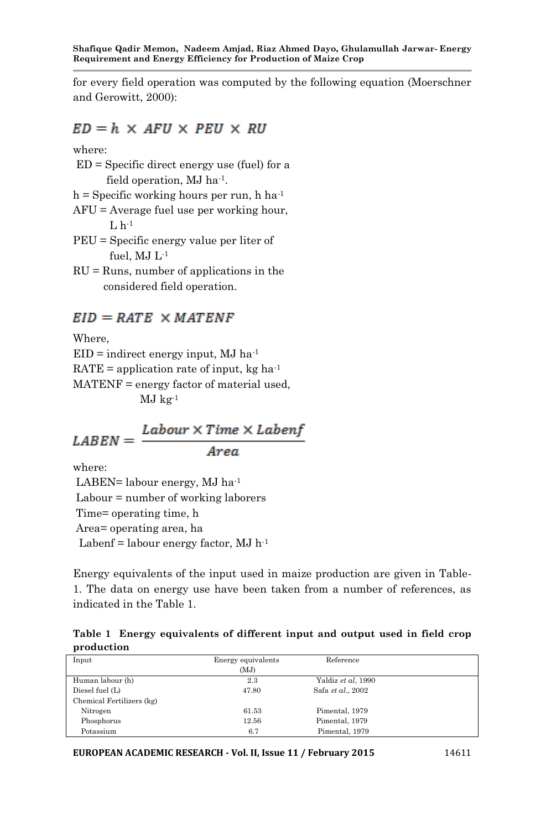for every field operation was computed by the following equation (Moerschner and Gerowitt, 2000):

## $ED = h \times AFU \times PEU \times RU$

where:

- ED = Specific direct energy use (fuel) for a field operation, MJ ha-1 .
- $h =$  Specific working hours per run, h ha<sup>-1</sup>
- AFU = Average fuel use per working hour,  $L<sub>h-1</sub>$
- PEU = Specific energy value per liter of fuel,  $MJ L<sup>-1</sup>$
- $RU = \text{Runs}, \text{number of applications in the}$ considered field operation.

## $EID = RATE \times MATER$

Where,  $EID = indirect energy input, MJ ha<sup>-1</sup>$ RATE = application rate of input,  $kg \text{ ha}^{-1}$ MATENF = energy factor of material used,  $MJ$  kg<sup>-1</sup>

# $\mathit{LABEN} = \frac{\mathit{Labour} \times \mathit{Time} \times \mathit{Label}}{\mathit{Area}}$

where:

LABEN= labour energy, MJ ha<sup>-1</sup> Labour = number of working laborers Time= operating time, h Area= operating area, ha Labenf = labour energy factor,  $MJ$  h<sup>-1</sup>

Energy equivalents of the input used in maize production are given in Table-1. The data on energy use have been taken from a number of references, as indicated in the Table 1.

|            |  |  | Table 1 Energy equivalents of different input and output used in field crop |  |  |  |  |  |  |  |  |  |
|------------|--|--|-----------------------------------------------------------------------------|--|--|--|--|--|--|--|--|--|
| production |  |  |                                                                             |  |  |  |  |  |  |  |  |  |

| Input                     | Energy equivalents | Reference          |  |
|---------------------------|--------------------|--------------------|--|
|                           | (MJ)               |                    |  |
| Human labour (h)          | 2.3                | Yaldiz et al, 1990 |  |
| Diesel fuel (L)           | 47.80              | Safa et al., 2002  |  |
| Chemical Fertilizers (kg) |                    |                    |  |
| Nitrogen                  | 61.53              | Pimental, 1979     |  |
| Phosphorus                | 12.56              | Pimental, 1979     |  |
| Potassium                 | 6.7                | Pimental, 1979     |  |

**EUROPEAN ACADEMIC RESEARCH - Vol. II, Issue 11 / February 2015** 14611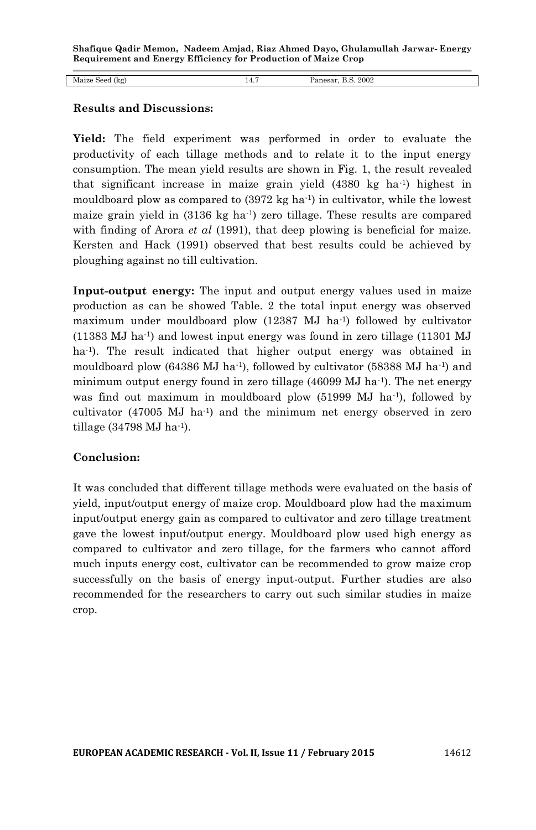Maize Seed (kg) 14.7 Panesar, B.S. 2002

#### **Results and Discussions:**

**Yield:** The field experiment was performed in order to evaluate the productivity of each tillage methods and to relate it to the input energy consumption. The mean yield results are shown in Fig. 1, the result revealed that significant increase in maize grain yield (4380 kg ha-1 ) highest in mouldboard plow as compared to  $(3972 \text{ kg ha}^{-1})$  in cultivator, while the lowest maize grain yield in (3136 kg ha-1 ) zero tillage. These results are compared with finding of Arora *et al* (1991), that deep plowing is beneficial for maize. Kersten and Hack (1991) observed that best results could be achieved by ploughing against no till cultivation.

**Input-output energy:** The input and output energy values used in maize production as can be showed Table. 2 the total input energy was observed maximum under mouldboard plow (12387 MJ ha<sup>-1</sup>) followed by cultivator (11383 MJ ha-1 ) and lowest input energy was found in zero tillage (11301 MJ ha<sup>-1</sup>). The result indicated that higher output energy was obtained in mouldboard plow (64386 MJ ha<sup>-1</sup>), followed by cultivator (58388 MJ ha<sup>-1</sup>) and minimum output energy found in zero tillage (46099 MJ ha<sup>-1</sup>). The net energy was find out maximum in mouldboard plow (51999 MJ ha-1 ), followed by cultivator (47005 MJ ha-1 ) and the minimum net energy observed in zero tillage (34798 MJ ha<sup>-1</sup>).

#### **Conclusion:**

It was concluded that different tillage methods were evaluated on the basis of yield, input/output energy of maize crop. Mouldboard plow had the maximum input/output energy gain as compared to cultivator and zero tillage treatment gave the lowest input/output energy. Mouldboard plow used high energy as compared to cultivator and zero tillage, for the farmers who cannot afford much inputs energy cost, cultivator can be recommended to grow maize crop successfully on the basis of energy input-output. Further studies are also recommended for the researchers to carry out such similar studies in maize crop.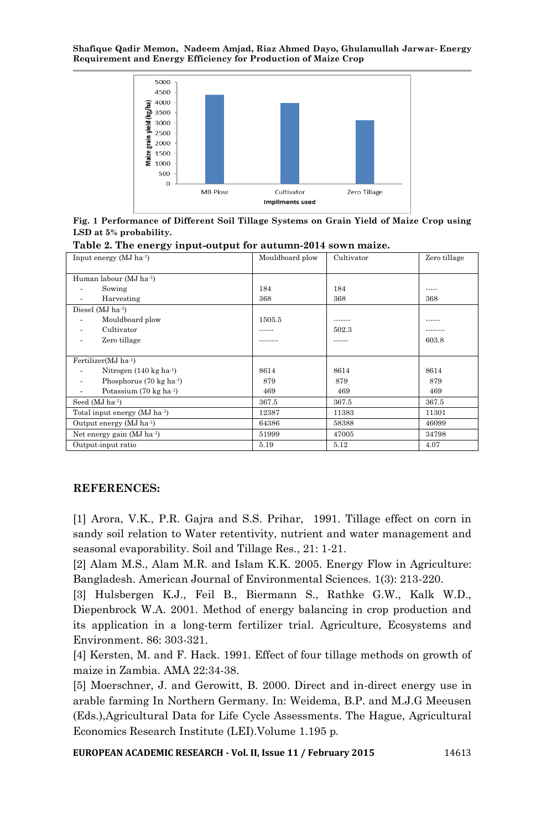

**Fig. 1 Performance of Different Soil Tillage Systems on Grain Yield of Maize Crop using LSD at 5% probability.**

**Table 2. The energy input-output for autumn-2014 sown maize.**

| Input energy $(MJ ha^{-1})$              | Mouldboard plow | Cultivator | Zero tillage |
|------------------------------------------|-----------------|------------|--------------|
|                                          |                 |            |              |
| Human labour (MJ ha-1)                   |                 |            |              |
| Sowing                                   | 184             | 184        |              |
| Harvesting                               | 368             | 368        | 368          |
| Diesel (MJ ha <sup>-1</sup> )            |                 |            |              |
| Mouldboard plow                          | 1505.5          |            |              |
| Cultivator                               |                 | 502.3      |              |
| Zero tillage                             |                 |            | 603.8        |
|                                          |                 |            |              |
| Fertilizer(MJ ha <sup>-1</sup> )         |                 |            |              |
| Nitrogen $(140 \text{ kg ha}^{-1})$      | 8614            | 8614       | 8614         |
| Phosphorus $(70 \text{ kg ha}^{-1})$     | 879             | 879        | 879          |
| Potassium (70 kg ha <sup>-1</sup> )      | 469             | 469        | 469          |
| Seed (MJ ha <sup>-1</sup> )              | 367.5           | 367.5      | 367.5        |
| Total input energy (MJ ha <sup>1</sup> ) | 12387           | 11383      | 11301        |
| Output energy $(MJ)$ ha <sup>-1</sup> )  | 64386           | 58388      | 46099        |
| Net energy gain (MJ ha <sup>-1</sup> )   | 51999           | 47005      | 34798        |
| Output-input ratio                       | 5.19            | 5.12       | 4.07         |

#### **REFERENCES:**

[1] Arora, V.K., P.R. Gajra and S.S. Prihar, 1991. Tillage effect on corn in sandy soil relation to Water retentivity, nutrient and water management and seasonal evaporability. Soil and Tillage Res., 21: 1-21.

[2] Alam M.S., Alam M.R. and Islam K.K. 2005. Energy Flow in Agriculture: Bangladesh. American Journal of Environmental Sciences. 1(3): 213-220.

[3] Hulsbergen K.J., Feil B., Biermann S., Rathke G.W., Kalk W.D., Diepenbrock W.A. 2001. Method of energy balancing in crop production and its application in a long-term fertilizer trial. Agriculture, Ecosystems and Environment. 86: 303-321.

[4] Kersten, M. and F. Hack. 1991. Effect of four tillage methods on growth of maize in Zambia. AMA 22:34-38.

[5] Moerschner, J. and Gerowitt, B. 2000. Direct and in-direct energy use in arable farming In Northern Germany. In: Weidema, B.P. and M.J.G Meeusen (Eds.),Agricultural Data for Life Cycle Assessments. The Hague, Agricultural Economics Research Institute (LEI).Volume 1.195 p.

**EUROPEAN ACADEMIC RESEARCH - Vol. II, Issue 11 / February 2015** 14613